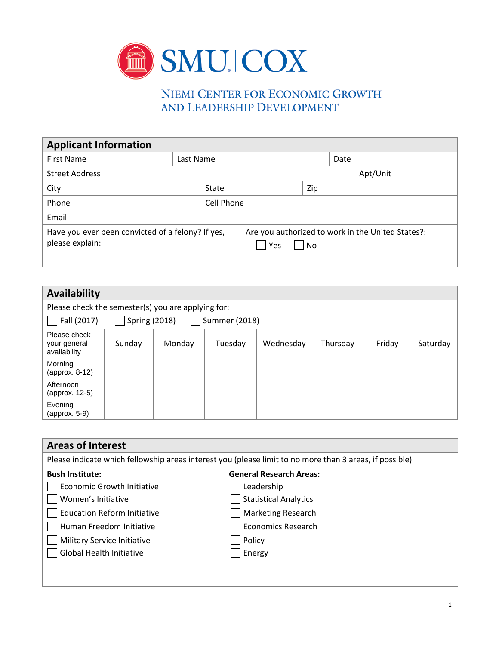

## NIEMI CENTER FOR ECONOMIC GROWTH AND LEADERSHIP DEVELOPMENT

| <b>Applicant Information</b>                                         |            |  |                                                                    |          |      |  |
|----------------------------------------------------------------------|------------|--|--------------------------------------------------------------------|----------|------|--|
| <b>First Name</b>                                                    | Last Name  |  |                                                                    |          | Date |  |
| <b>Street Address</b>                                                |            |  |                                                                    | Apt/Unit |      |  |
| City<br>State                                                        |            |  |                                                                    | Zip      |      |  |
| Phone                                                                | Cell Phone |  |                                                                    |          |      |  |
| Email                                                                |            |  |                                                                    |          |      |  |
| Have you ever been convicted of a felony? If yes,<br>please explain: |            |  | Are you authorized to work in the United States?:<br>$ $ No<br>Yes |          |      |  |

| <b>Availability</b>                                  |        |        |         |           |          |        |          |
|------------------------------------------------------|--------|--------|---------|-----------|----------|--------|----------|
| Please check the semester(s) you are applying for:   |        |        |         |           |          |        |          |
| Fall (2017)<br><b>Spring (2018)</b><br>Summer (2018) |        |        |         |           |          |        |          |
| Please check<br>your general<br>availability         | Sunday | Monday | Tuesday | Wednesday | Thursday | Friday | Saturday |
| Morning<br>(approx. 8-12)                            |        |        |         |           |          |        |          |
| Afternoon<br>(approx. 12-5)                          |        |        |         |           |          |        |          |
| Evening<br>(approx. 5-9)                             |        |        |         |           |          |        |          |

| <b>Areas of Interest</b>                                                                                |                                |  |  |  |
|---------------------------------------------------------------------------------------------------------|--------------------------------|--|--|--|
| Please indicate which fellowship areas interest you (please limit to no more than 3 areas, if possible) |                                |  |  |  |
| <b>Bush Institute:</b>                                                                                  | <b>General Research Areas:</b> |  |  |  |
| <b>Economic Growth Initiative</b>                                                                       | Leadership                     |  |  |  |
| Women's Initiative                                                                                      | <b>Statistical Analytics</b>   |  |  |  |
| <b>Education Reform Initiative</b>                                                                      | <b>Marketing Research</b>      |  |  |  |
| Human Freedom Initiative                                                                                | <b>Economics Research</b>      |  |  |  |
| Military Service Initiative                                                                             | Policy                         |  |  |  |
| <b>Global Health Initiative</b>                                                                         | Energy                         |  |  |  |
|                                                                                                         |                                |  |  |  |